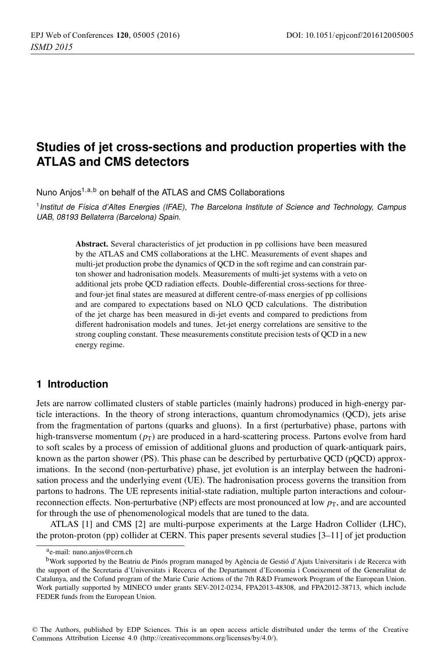# **Studies of jet cross-sections and production properties with the ATLAS and CMS detectors**

Nuno Anjos<sup>1,a,b</sup> on behalf of the ATLAS and CMS Collaborations

<sup>1</sup> Institut de Física d'Altes Energies (IFAE), The Barcelona Institute of Science and Technology, Campus UAB, 08193 Bellaterra (Barcelona) Spain.

> Abstract. Several characteristics of jet production in pp collisions have been measured by the ATLAS and CMS collaborations at the LHC. Measurements of event shapes and multi-jet production probe the dynamics of QCD in the soft regime and can constrain parton shower and hadronisation models. Measurements of multi-jet systems with a veto on additional jets probe QCD radiation effects. Double-differential cross-sections for threeand four-jet final states are measured at different centre-of-mass energies of pp collisions and are compared to expectations based on NLO QCD calculations. The distribution of the jet charge has been measured in di-jet events and compared to predictions from different hadronisation models and tunes. Jet-jet energy correlations are sensitive to the strong coupling constant. These measurements constitute precision tests of QCD in a new energy regime.

# **1 Introduction**

Jets are narrow collimated clusters of stable particles (mainly hadrons) produced in high-energy particle interactions. In the theory of strong interactions, quantum chromodynamics (QCD), jets arise from the fragmentation of partons (quarks and gluons). In a first (perturbative) phase, partons with high-transverse momentum  $(p_T)$  are produced in a hard-scattering process. Partons evolve from hard to soft scales by a process of emission of additional gluons and production of quark-antiquark pairs, known as the parton shower (PS). This phase can be described by perturbative QCD (pQCD) approximations. In the second (non-perturbative) phase, jet evolution is an interplay between the hadronisation process and the underlying event (UE). The hadronisation process governs the transition from partons to hadrons. The UE represents initial-state radiation, multiple parton interactions and colourreconnection effects. Non-perturbative (NP) effects are most pronounced at low  $p<sub>T</sub>$ , and are accounted for through the use of phenomenological models that are tuned to the data.

ATLAS [1] and CMS [2] are multi-purpose experiments at the Large Hadron Collider (LHC), the proton-proton (pp) collider at CERN. This paper presents several studies [3–11] of jet production

ae-mail: [nuno.anjos@cern.ch](mailto:nuno.anjos@cern.ch)

bWork supported by the Beatriu de Pinós program managed by Agència de Gestió d'Ajuts Universitaris i de Recerca with the support of the Secretaria d'Universitats i Recerca of the Departament d'Economia i Coneixement of the Generalitat de Catalunya, and the Cofund program of the Marie Curie Actions of the 7th R&D Framework Program of the European Union. Work partially supported by MINECO under grants SEV-2012-0234, FPA2013-48308, and FPA2012-38713, which include FEDER funds from the European Union.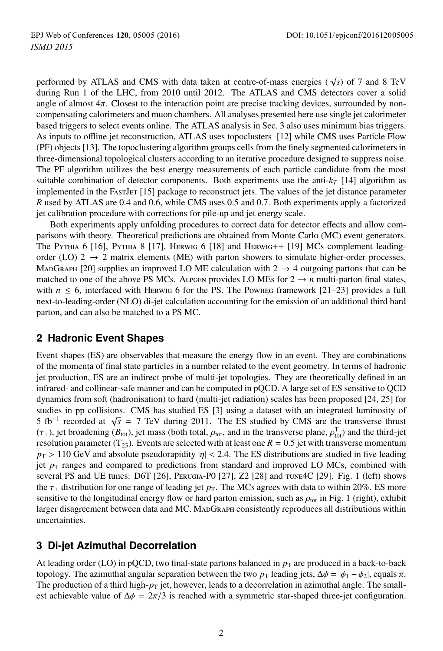performed by ATLAS and CMS with data taken at centre-of-mass energies ( $\sqrt{s}$ ) of 7 and 8 TeV during Run 1 of the LHC, from 2010 until 2012. The ATLAS and CMS detectors cover a solid angle of almost 4π. Closest to the interaction point are precise tracking devices, surrounded by noncompensating calorimeters and muon chambers. All analyses presented here use single jet calorimeter based triggers to select events online. The ATLAS analysis in Sec. 3 also uses minimum bias triggers. As inputs to offline jet reconstruction, ATLAS uses topoclusters [12] while CMS uses Particle Flow (PF) objects [13]. The topoclustering algorithm groups cells from the finely segmented calorimeters in three-dimensional topological clusters according to an iterative procedure designed to suppress noise. The PF algorithm utilizes the best energy measurements of each particle candidate from the most suitable combination of detector components. Both experiments use the anti- $k_T$  [14] algorithm as implemented in the FastJET [15] package to reconstruct jets. The values of the jet distance parameter *R* used by ATLAS are 0.4 and 0.6, while CMS uses 0.5 and 0.7. Both experiments apply a factorized jet calibration procedure with corrections for pile-up and jet energy scale.

Both experiments apply unfolding procedures to correct data for detector effects and allow comparisons with theory. Theoretical predictions are obtained from Monte Carlo (MC) event generators. The Pythia 6 [16], Pythia 8 [17], Herwig 6 [18] and Herwig++ [19] MCs complement leadingorder (LO)  $2 \rightarrow 2$  matrix elements (ME) with parton showers to simulate higher-order processes. MADGRAPH [20] supplies an improved LO ME calculation with  $2 \rightarrow 4$  outgoing partons that can be matched to one of the above PS MCs. Alpgen provides LO MEs for  $2 \rightarrow n$  multi-parton final states, with  $n \leq 6$ , interfaced with HERWIG 6 for the PS. The Powheg framework [21–23] provides a full next-to-leading-order (NLO) di-jet calculation accounting for the emission of an additional third hard parton, and can also be matched to a PS MC.

## **2 Hadronic Event Shapes**

Event shapes (ES) are observables that measure the energy flow in an event. They are combinations of the momenta of final state particles in a number related to the event geometry. In terms of hadronic jet production, ES are an indirect probe of multi-jet topologies. They are theoretically defined in an infrared- and collinear-safe manner and can be computed in pQCD. A large set of ES sensitive to QCD dynamics from soft (hadronisation) to hard (multi-jet radiation) scales has been proposed [24, 25] for studies in pp collisions. CMS has studied ES [3] using a dataset with an integrated luminosity of 5 fb−<sup>1</sup> recorded at <sup>√</sup>*<sup>s</sup>* <sup>=</sup> 7 TeV during 2011. The ES studied by CMS are the transverse thrust  $(\tau_{\perp})$ , jet broadening ( $B_{\text{tot}}$ ), jet mass (both total,  $\rho_{\text{tot}}$ , and in the transverse plane,  $\rho_{\text{tot}}^T$ ) and the third-jet resolution parameter ( $T_{23}$ ). Events are selected with at least one  $R = 0.5$  jet with transverse momentum  $p_T > 110$  GeV and absolute pseudorapidity  $|\eta| < 2.4$ . The ES distributions are studied in five leading jet  $p<sub>T</sub>$  ranges and compared to predictions from standard and improved LO MCs, combined with several PS and UE tunes: D6T [26], Perugia-P0 [27], Z2 [28] and tune4C [29]. Fig. 1 (left) shows the  $\tau_{\perp}$  distribution for one range of leading jet  $p_T$ . The MCs agrees with data to within 20%. ES more sensitive to the longitudinal energy flow or hard parton emission, such as  $\rho_{\text{tot}}$  in Fig. 1 (right), exhibit larger disagreement between data and MC. MadGraph consistently reproduces all distributions within uncertainties.

# **3 Di-jet Azimuthal Decorrelation**

At leading order (LO) in pQCD, two final-state partons balanced in  $p<sub>T</sub>$  are produced in a back-to-back topology. The azimuthal angular separation between the two  $p_T$  leading jets,  $\Delta \phi = |\phi_1 - \phi_2|$ , equals  $\pi$ . The production of a third high- $p<sub>T</sub>$  jet, however, leads to a decorrelation in azimuthal angle. The smallest achievable value of  $\Delta \phi = 2\pi/3$  is reached with a symmetric star-shaped three-jet configuration.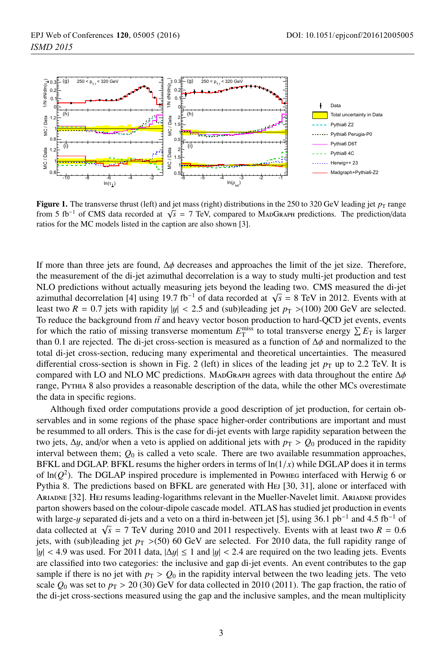

Figure 1. The transverse thrust (left) and jet mass (right) distributions in the 250 to 320 GeV leading jet  $p_T$  range from 5 fb−<sup>1</sup> of CMS data recorded at <sup>√</sup>*<sup>s</sup>* <sup>=</sup> 7 TeV, compared to MadGraph predictions. The prediction/data ratios for the MC models listed in the caption are also shown [3].

If more than three jets are found,  $Δφ$  decreases and approaches the limit of the jet size. Therefore, the measurement of the di-jet azimuthal decorrelation is a way to study multi-jet production and test NLO predictions without actually measuring jets beyond the leading two. CMS measured the di-jet azimuthal decorrelation [4] using 19.7 fb<sup>-1</sup> of data recorded at  $\sqrt{s}$  = 8 TeV in 2012. Events with at least two  $R = 0.7$  jets with rapidity  $|y| < 2.5$  and (sub)leading jet  $p<sub>T</sub> > (100)$  200 GeV are selected. To reduce the background from  $t\bar{t}$  and heavy vector boson production to hard-QCD jet events, events for which the ratio of missing transverse momentum  $E_T^{\text{miss}}$  to total transverse energy  $\sum E_T$  is larger than 0.1 are rejected. The di-jet cross-section is measured as a function of  $\Delta\phi$  and normalized to the total di-jet cross-section, reducing many experimental and theoretical uncertainties. The measured differential cross-section is shown in Fig. 2 (left) in slices of the leading jet  $p<sub>T</sub>$  up to 2.2 TeV. It is compared with LO and NLO MC predictions. MADGRAPH agrees with data throughout the entire  $\Delta\phi$ range, Pythia 8 also provides a reasonable description of the data, while the other MCs overestimate the data in specific regions.

Although fixed order computations provide a good description of jet production, for certain observables and in some regions of the phase space higher-order contributions are important and must be resummed to all orders. This is the case for di-jet events with large rapidity separation between the two jets,  $\Delta y$ , and/or when a veto is applied on additional jets with  $p_T > Q_0$  produced in the rapidity interval between them;  $Q_0$  is called a veto scale. There are two available resummation approaches, BFKL and DGLAP. BFKL resums the higher orders in terms of  $\ln(1/x)$  while DGLAP does it in terms of  $ln(Q^2)$ . The DGLAP inspired procedure is implemented in Powheg interfaced with Herwig 6 or Pythia 8. The predictions based on BFKL are generated with HEJ [30, 31], alone or interfaced with ARIADNE [32]. Hej resums leading-logarithms relevant in the Mueller-Navelet limit. ARIADNE provides parton showers based on the colour-dipole cascade model. ATLAS has studied jet production in events with large-y separated di-jets and a veto on a third in-between jet [5], using 36.1 pb<sup>-1</sup> and 4.5 fb<sup>-1</sup> of data collected at  $\sqrt{s}$  = 7 TeV during 2010 and 2011 respectively. Events with at least two *R* = 0.6 jets, with (sub)leading jet  $p_T > (50)$  60 GeV are selected. For 2010 data, the full rapidity range of  $|y| < 4.9$  was used. For 2011 data,  $|\Delta y| \le 1$  and  $|y| < 2.4$  are required on the two leading jets. Events are classified into two categories: the inclusive and gap di-jet events. An event contributes to the gap sample if there is no jet with  $p_T > Q_0$  in the rapidity interval between the two leading jets. The veto scale  $Q_0$  was set to  $p_T > 20$  (30) GeV for data collected in 2010 (2011). The gap fraction, the ratio of the di-jet cross-sections measured using the gap and the inclusive samples, and the mean multiplicity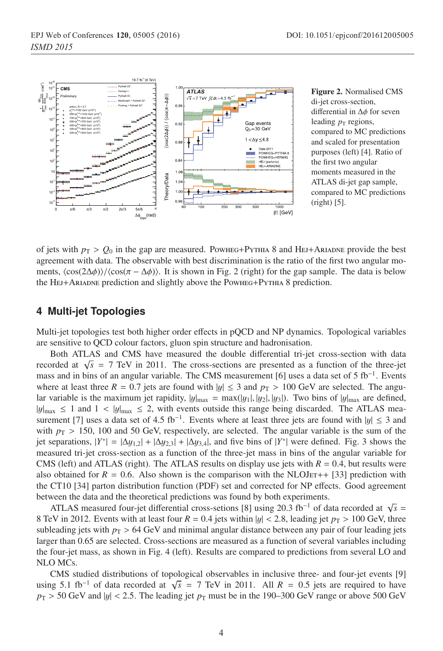

Figure 2. Normalised CMS di-jet cross-section, differential in Δφ for seven leading  $p<sub>T</sub>$  regions, compared to MC predictions and scaled for presentation purposes (left) [4]. Ratio of the first two angular moments measured in the ATLAS di-jet gap sample, compared to MC predictions (right) [5].

of jets with  $p_T > Q_0$  in the gap are measured. Powheg+PyTHIA 8 and HEJ+ARIADNE provide the best agreement with data. The observable with best discrimination is the ratio of the first two angular moments,  $\langle \cos(2\Delta\phi) \rangle / \langle \cos(\pi - \Delta\phi) \rangle$ . It is shown in Fig. 2 (right) for the gap sample. The data is below the Hej+Ariadne prediction and slightly above the Powheg+Pythia 8 prediction.

#### **4 Multi-jet Topologies**

Multi-jet topologies test both higher order effects in pQCD and NP dynamics. Topological variables are sensitive to QCD colour factors, gluon spin structure and hadronisation.

Both ATLAS and CMS have measured the double differential tri-jet cross-section with data recorded at  $\sqrt{s}$  = 7 TeV in 2011. The cross-sections are presented as a function of the three-jet mass and in bins of an angular variable. The CMS measurement [6] uses a data set of 5  $fb^{-1}$ . Events where at least three  $R = 0.7$  jets are found with  $|y| \le 3$  and  $p<sub>T</sub> > 100$  GeV are selected. The angular variable is the maximum jet rapidity,  $|y|_{max} = \max(|y_1|, |y_2|, |y_3|)$ . Two bins of  $|y|_{max}$  are defined,  $|y|_{\text{max}} \le 1$  and  $1 < |y|_{\text{max}} \le 2$ , with events outside this range being discarded. The ATLAS measurement [7] uses a data set of 4.5 fb<sup>-1</sup>. Events where at least three jets are found with  $|y| \le 3$  and with  $p_T > 150$ , 100 and 50 GeV, respectively, are selected. The angular variable is the sum of the jet separations,  $|Y^*| = |\Delta y_{1,2}| + |\Delta y_{2,3}| + |\Delta y_{3,4}|$ , and five bins of  $|Y^*|$  were defined. Fig. 3 shows the measured tri-jet cross-section as a function of the three-jet mass in bins of the angular variable for CMS (left) and ATLAS (right). The ATLAS results on display use jets with  $R = 0.4$ , but results were also obtained for  $R = 0.6$ . Also shown is the comparison with the NLOJET++ [33] prediction with the CT10 [34] parton distribution function (PDF) set and corrected for NP effects. Good agreement between the data and the theoretical predictions was found by both experiments.

ATLAS measured four-jet differential cross-setions [8] using 20.3 fb−<sup>1</sup> of data recorded at <sup>√</sup>*<sup>s</sup>* <sup>=</sup> 8 TeV in 2012. Events with at least four  $R = 0.4$  jets within  $|y| < 2.8$ , leading jet  $p<sub>T</sub> > 100$  GeV, three subleading jets with  $p_T > 64$  GeV and minimal angular distance between any pair of four leading jets larger than 0.65 are selected. Cross-sections are measured as a function of several variables including the four-jet mass, as shown in Fig. 4 (left). Results are compared to predictions from several LO and NLO MCs.

CMS studied distributions of topological observables in inclusive three- and four-jet events [9] using 5.1 fb<sup>-1</sup> of data recorded at  $\sqrt{s}$  = 7 TeV in 2011. All *R* = 0.5 jets are required to have  $p_T > 50$  GeV and  $|y| < 2.5$ . The leading jet  $p_T$  must be in the 190–300 GeV range or above 500 GeV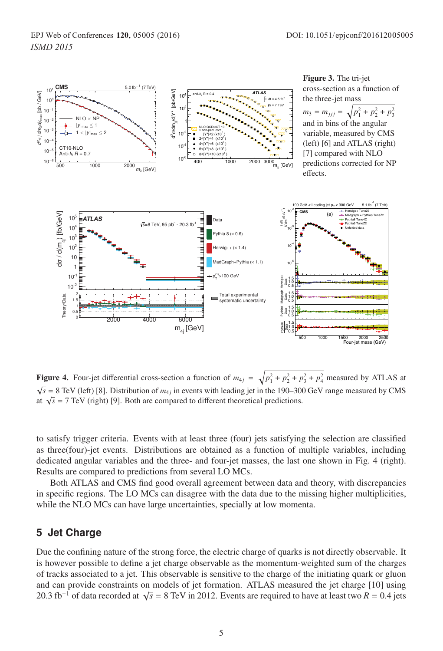

**Figure 4.** Four-jet differential cross-section a function of  $m_{4j} = \sqrt{p_1^2 + p_2^2 + p_3^2 + p_4^2}$  measured by ATLAS at  $\sqrt{p_1^2 + p_2^2 + p_3^2 + p_4^2}$  measured by ATLAS at  $\sqrt{s}$  = 8 TeV (left) [8]. Distribution of  $m_{4j}$  in events with leading jet in the 190–300 GeV range measured by CMS at  $\sqrt{s}$  = 7 TeV (right) [9]. Both are compared to different theoretical predictions.

to satisfy trigger criteria. Events with at least three (four) jets satisfying the selection are classified as three(four)-jet events. Distributions are obtained as a function of multiple variables, including dedicated angular variables and the three- and four-jet masses, the last one shown in Fig. 4 (right). Results are compared to predictions from several LO MCs.

Both ATLAS and CMS find good overall agreement between data and theory, with discrepancies in specific regions. The LO MCs can disagree with the data due to the missing higher multiplicities, while the NLO MCs can have large uncertainties, specially at low momenta.

## **5 Jet Charge**

Due the confining nature of the strong force, the electric charge of quarks is not directly observable. It is however possible to define a jet charge observable as the momentum-weighted sum of the charges of tracks associated to a jet. This observable is sensitive to the charge of the initiating quark or gluon and can provide constraints on models of jet formation. ATLAS measured the jet charge [10] using 20.3 fb−<sup>1</sup> of data recorded at <sup>√</sup>*<sup>s</sup>* <sup>=</sup> 8 TeV in 2012. Events are required to have at least two *<sup>R</sup>* <sup>=</sup> <sup>0</sup>.4 jets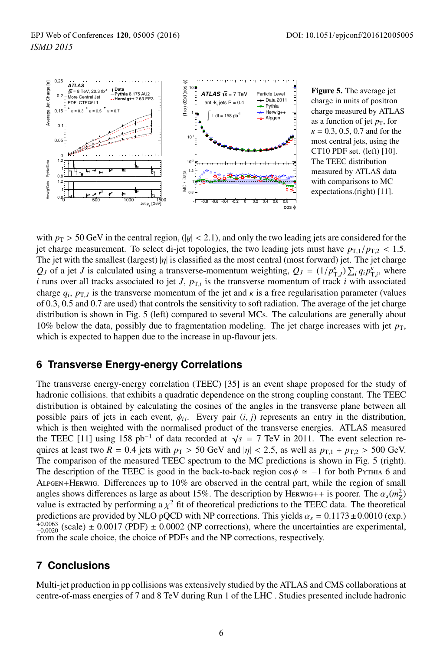

Figure 5. The average jet charge in units of positron charge measured by ATLAS as a function of jet  $p<sub>T</sub>$ , for  $\kappa = 0.3, 0.5, 0.7$  and for the most central jets, using the CT10 PDF set. (left) [10]. The TEEC distribution measured by ATLAS data with comparisons to MC expectations.(right) [11].

with  $p_T > 50$  GeV in the central region, (|y| < 2.1), and only the two leading jets are considered for the jet charge measurement. To select di-jet topologies, the two leading jets must have  $p_{T,1}/p_{T,2}$  < 1.5. The jet with the smallest (largest)  $|\eta|$  is classified as the most central (most forward) jet. The jet charge *Q<sub>J</sub>* of a jet *J* is calculated using a transverse-momentum weighting,  $Q_J = (1/p_{T,J}^k) \sum_i q_i p_{T,i}^k$ , where *i* runs over all tracks associated to jet *J*,  $p_{T,i}$  is the transverse momentum of track *i* with associated charge  $q_i$ ,  $p_{T,J}$  is the transverse momentum of the jet and  $\kappa$  is a free regularisation parameter (values of 0.3, 0.5 and 0.7 are used) that controls the sensitivity to soft radiation. The average of the jet charge distribution is shown in Fig. 5 (left) compared to several MCs. The calculations are generally about 10% below the data, possibly due to fragmentation modeling. The jet charge increases with jet  $p<sub>T</sub>$ , which is expected to happen due to the increase in up-flavour jets.

# **6 Transverse Energy-energy Correlations**

The transverse energy-energy correlation (TEEC) [35] is an event shape proposed for the study of hadronic collisions. that exhibits a quadratic dependence on the strong coupling constant. The TEEC distribution is obtained by calculating the cosines of the angles in the transverse plane between all possible pairs of jets in each event,  $\phi_{ij}$ . Every pair  $(i, j)$  represents an entry in the distribution, which is then weighted with the normalised product of the transverse energies. ATLAS measured the TEEC [11] using 158 pb<sup>-1</sup> of data recorded at  $\sqrt{s}$  = 7 TeV in 2011. The event selection requires at least two  $R = 0.4$  jets with  $p_T > 50$  GeV and  $|\eta| < 2.5$ , as well as  $p_{T,1} + p_{T,2} > 500$  GeV. The comparison of the measured TEEC spectrum to the MC predictions is shown in Fig. 5 (right). The description of the TEEC is good in the back-to-back region cos  $\phi \approx -1$  for both PyTHIA 6 and Alpgen+Herwig. Differences up to 10% are observed in the central part, while the region of small angles shows differences as large as about 15%. The description by HERWIG++ is poorer. The  $\alpha_s(m_Z^2)$ value is extracted by performing a  $\chi^2$  fit of theoretical predictions to the TEEC data. The theoretical predictions are provided by NLO pQCD with NP corrections. This yields  $\alpha_s = 0.1173 \pm 0.0010$  (exp.)  $_{-0.0020}^{+0.0063}$  (scale)  $\pm$  0.0017 (PDF)  $\pm$  0.0002 (NP corrections), where the uncertainties are experimental, from the scale choice, the choice of PDFs and the NP corrections, respectively.

# **7 Conclusions**

Multi-jet production in pp collisions was extensively studied by the ATLAS and CMS collaborations at centre-of-mass energies of 7 and 8 TeV during Run 1 of the LHC . Studies presented include hadronic